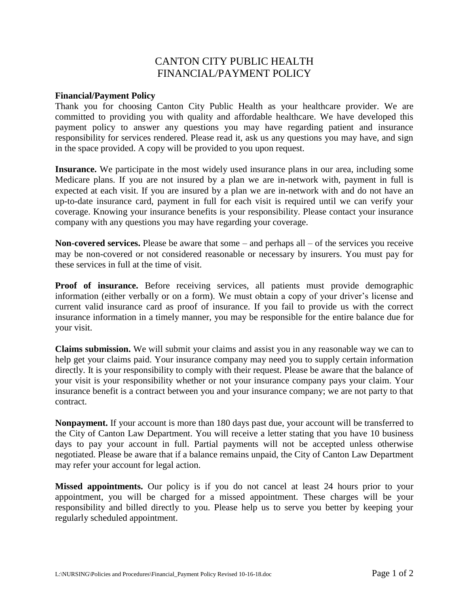## CANTON CITY PUBLIC HEALTH FINANCIAL/PAYMENT POLICY

## **Financial/Payment Policy**

Thank you for choosing Canton City Public Health as your healthcare provider. We are committed to providing you with quality and affordable healthcare. We have developed this payment policy to answer any questions you may have regarding patient and insurance responsibility for services rendered. Please read it, ask us any questions you may have, and sign in the space provided. A copy will be provided to you upon request.

**Insurance.** We participate in the most widely used insurance plans in our area, including some Medicare plans. If you are not insured by a plan we are in-network with, payment in full is expected at each visit. If you are insured by a plan we are in-network with and do not have an up-to-date insurance card, payment in full for each visit is required until we can verify your coverage. Knowing your insurance benefits is your responsibility. Please contact your insurance company with any questions you may have regarding your coverage.

**Non-covered services.** Please be aware that some – and perhaps all – of the services you receive may be non-covered or not considered reasonable or necessary by insurers. You must pay for these services in full at the time of visit.

**Proof of insurance.** Before receiving services, all patients must provide demographic information (either verbally or on a form). We must obtain a copy of your driver's license and current valid insurance card as proof of insurance. If you fail to provide us with the correct insurance information in a timely manner, you may be responsible for the entire balance due for your visit.

**Claims submission.** We will submit your claims and assist you in any reasonable way we can to help get your claims paid. Your insurance company may need you to supply certain information directly. It is your responsibility to comply with their request. Please be aware that the balance of your visit is your responsibility whether or not your insurance company pays your claim. Your insurance benefit is a contract between you and your insurance company; we are not party to that contract.

**Nonpayment.** If your account is more than 180 days past due, your account will be transferred to the City of Canton Law Department. You will receive a letter stating that you have 10 business days to pay your account in full. Partial payments will not be accepted unless otherwise negotiated. Please be aware that if a balance remains unpaid, the City of Canton Law Department may refer your account for legal action.

**Missed appointments.** Our policy is if you do not cancel at least 24 hours prior to your appointment, you will be charged for a missed appointment. These charges will be your responsibility and billed directly to you. Please help us to serve you better by keeping your regularly scheduled appointment.